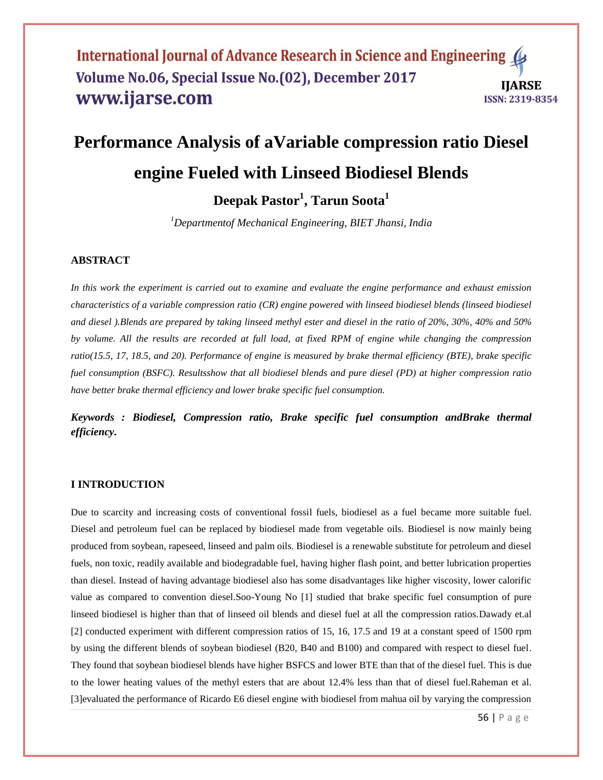# **Performance Analysis of aVariable compression ratio Diesel engine Fueled with Linseed Biodiesel Blends**

**Deepak Pastor<sup>1</sup> , Tarun Soota<sup>1</sup>**

*<sup>1</sup>Departmentof Mechanical Engineering, BIET Jhansi, India*

#### **ABSTRACT**

*In this work the experiment is carried out to examine and evaluate the engine performance and exhaust emission characteristics of a variable compression ratio (CR) engine powered with linseed biodiesel blends (linseed biodiesel and diesel ).Blends are prepared by taking linseed methyl ester and diesel in the ratio of 20%, 30%, 40% and 50% by volume. All the results are recorded at full load, at fixed RPM of engine while changing the compression ratio(15.5, 17, 18.5, and 20). Performance of engine is measured by brake thermal efficiency (BTE), brake specific fuel consumption (BSFC). Resultsshow that all biodiesel blends and pure diesel (PD) at higher compression ratio have better brake thermal efficiency and lower brake specific fuel consumption.*

*Keywords : Biodiesel, Compression ratio, Brake specific fuel consumption andBrake thermal efficiency.*

## **I INTRODUCTION**

Due to scarcity and increasing costs of conventional fossil fuels, biodiesel as a fuel became more suitable fuel. Diesel and petroleum fuel can be replaced by biodiesel made from vegetable oils. Biodiesel is now mainly being produced from soybean, rapeseed, linseed and palm oils. Biodiesel is a renewable substitute for petroleum and diesel fuels, non toxic, readily available and biodegradable fuel, having higher flash point, and better lubrication properties than diesel. Instead of having advantage biodiesel also has some disadvantages like higher viscosity, lower calorific value as compared to convention diesel.Soo-Young No [1] studied that brake specific fuel consumption of pure linseed biodiesel is higher than that of linseed oil blends and diesel fuel at all the compression ratios.Dawady et.al [2] conducted experiment with different compression ratios of 15, 16, 17.5 and 19 at a constant speed of 1500 rpm by using the different blends of soybean biodiesel (B20, B40 and B100) and compared with respect to diesel fuel. They found that soybean biodiesel blends have higher BSFCS and lower BTE than that of the diesel fuel. This is due to the lower heating values of the methyl esters that are about 12.4% less than that of diesel fuel.Raheman et al. [3]evaluated the performance of Ricardo E6 diesel engine with biodiesel from mahua oil by varying the compression

56 | P a g e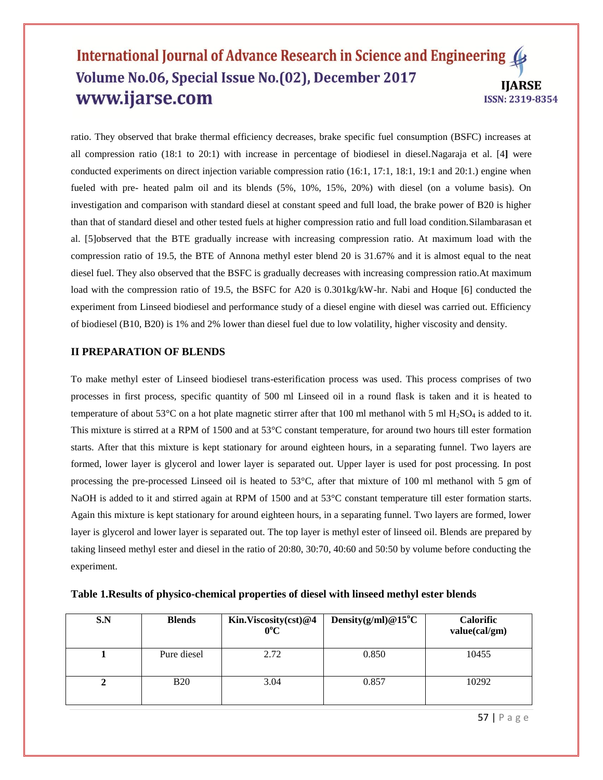ratio. They observed that brake thermal efficiency decreases, brake specific fuel consumption (BSFC) increases at all compression ratio (18:1 to 20:1) with increase in percentage of biodiesel in diesel.Nagaraja et al. [4**]** were conducted experiments on direct injection variable compression ratio (16:1, 17:1, 18:1, 19:1 and 20:1.) engine when fueled with pre- heated palm oil and its blends (5%, 10%, 15%, 20%) with diesel (on a volume basis). On investigation and comparison with standard diesel at constant speed and full load, the brake power of B20 is higher than that of standard diesel and other tested fuels at higher compression ratio and full load condition.Silambarasan et al. [5]observed that the BTE gradually increase with increasing compression ratio. At maximum load with the compression ratio of 19.5, the BTE of Annona methyl ester blend 20 is 31.67% and it is almost equal to the neat diesel fuel. They also observed that the BSFC is gradually decreases with increasing compression ratio.At maximum load with the compression ratio of 19.5, the BSFC for A20 is 0.301kg/kW-hr. Nabi and Hoque [6] conducted the experiment from Linseed biodiesel and performance study of a diesel engine with diesel was carried out. Efficiency of biodiesel (B10, B20) is 1% and 2% lower than diesel fuel due to low volatility, higher viscosity and density.

#### **II PREPARATION OF BLENDS**

To make methyl ester of Linseed biodiesel trans-esterification process was used. This process comprises of two processes in first process, specific quantity of 500 ml Linseed oil in a round flask is taken and it is heated to temperature of about 53°C on a hot plate magnetic stirrer after that 100 ml methanol with 5 ml H<sub>2</sub>SO<sub>4</sub> is added to it. This mixture is stirred at a RPM of 1500 and at 53°C constant temperature, for around two hours till ester formation starts. After that this mixture is kept stationary for around eighteen hours, in a separating funnel. Two layers are formed, lower layer is glycerol and lower layer is separated out. Upper layer is used for post processing. In post processing the pre-processed Linseed oil is heated to 53°C, after that mixture of 100 ml methanol with 5 gm of NaOH is added to it and stirred again at RPM of 1500 and at 53°C constant temperature till ester formation starts. Again this mixture is kept stationary for around eighteen hours, in a separating funnel. Two layers are formed, lower layer is glycerol and lower layer is separated out. The top layer is methyl ester of linseed oil. Blends are prepared by taking linseed methyl ester and diesel in the ratio of 20:80, 30:70, 40:60 and 50:50 by volume before conducting the experiment.

| S.N | <b>Blends</b> | Kin.Viscosity(cst)@4<br>$0^{\circ}C$ | Density $(g/ml)@15°C$ | <b>Calorific</b><br>value(cal/gm) |
|-----|---------------|--------------------------------------|-----------------------|-----------------------------------|
|     | Pure diesel   | 2.72                                 | 0.850                 | 10455                             |
|     | <b>B20</b>    | 3.04                                 | 0.857                 | 10292                             |

**Table 1.Results of physico-chemical properties of diesel with linseed methyl ester blends**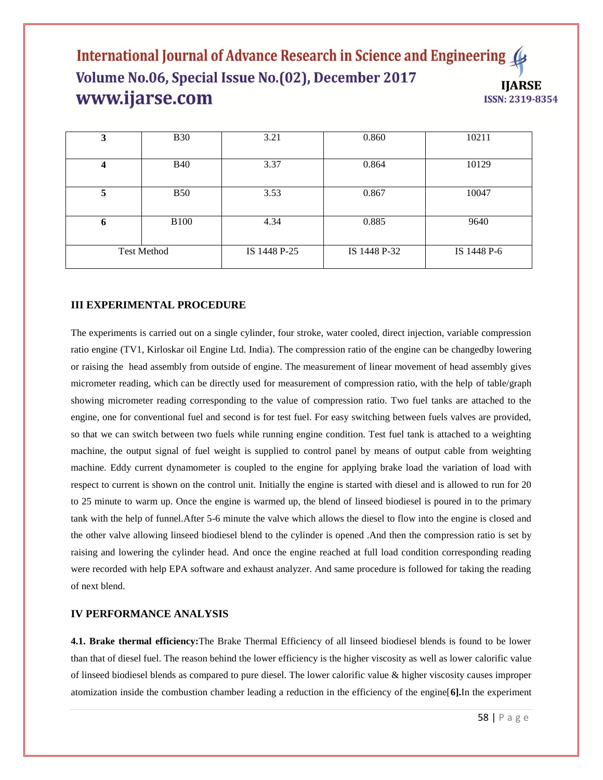| 3                  | <b>B30</b>  | 3.21         | 0.860        | 10211       |
|--------------------|-------------|--------------|--------------|-------------|
|                    | <b>B40</b>  | 3.37         | 0.864        | 10129       |
| 5                  | <b>B50</b>  | 3.53         | 0.867        | 10047       |
| 6                  | <b>B100</b> | 4.34         | 0.885        | 9640        |
| <b>Test Method</b> |             | IS 1448 P-25 | IS 1448 P-32 | IS 1448 P-6 |

#### **III EXPERIMENTAL PROCEDURE**

The experiments is carried out on a single cylinder, four stroke, water cooled, direct injection, variable compression ratio engine (TV1, Kirloskar oil Engine Ltd. India). The compression ratio of the engine can be changedby lowering or raising the head assembly from outside of engine. The measurement of linear movement of head assembly gives micrometer reading, which can be directly used for measurement of compression ratio, with the help of table/graph showing micrometer reading corresponding to the value of compression ratio. Two fuel tanks are attached to the engine, one for conventional fuel and second is for test fuel. For easy switching between fuels valves are provided, so that we can switch between two fuels while running engine condition. Test fuel tank is attached to a weighting machine, the output signal of fuel weight is supplied to control panel by means of output cable from weighting machine. Eddy current dynamometer is coupled to the engine for applying brake load the variation of load with respect to current is shown on the control unit. Initially the engine is started with diesel and is allowed to run for 20 to 25 minute to warm up. Once the engine is warmed up, the blend of linseed biodiesel is poured in to the primary tank with the help of funnel.After 5-6 minute the valve which allows the diesel to flow into the engine is closed and the other valve allowing linseed biodiesel blend to the cylinder is opened .And then the compression ratio is set by raising and lowering the cylinder head. And once the engine reached at full load condition corresponding reading were recorded with help EPA software and exhaust analyzer. And same procedure is followed for taking the reading of next blend.

#### **IV PERFORMANCE ANALYSIS**

**4.1. Brake thermal efficiency:**The Brake Thermal Efficiency of all linseed biodiesel blends is found to be lower than that of diesel fuel. The reason behind the lower efficiency is the higher viscosity as well as lower calorific value of linseed biodiesel blends as compared to pure diesel. The lower calorific value & higher viscosity causes improper atomization inside the combustion chamber leading a reduction in the efficiency of the engine[**6].**In the experiment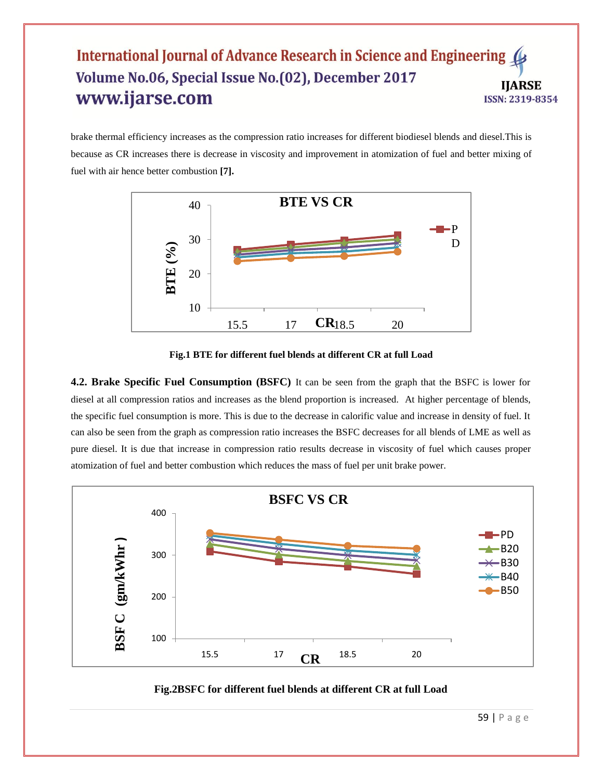brake thermal efficiency increases as the compression ratio increases for different biodiesel blends and diesel.This is because as CR increases there is decrease in viscosity and improvement in atomization of fuel and better mixing of fuel with air hence better combustion **[7].**



**Fig.1 BTE for different fuel blends at different CR at full Load**

**4.2. Brake Specific Fuel Consumption (BSFC)** It can be seen from the graph that the BSFC is lower for diesel at all compression ratios and increases as the blend proportion is increased. At higher percentage of blends, the specific fuel consumption is more. This is due to the decrease in calorific value and increase in density of fuel. It can also be seen from the graph as compression ratio increases the BSFC decreases for all blends of LME as well as pure diesel. It is due that increase in compression ratio results decrease in viscosity of fuel which causes proper atomization of fuel and better combustion which reduces the mass of fuel per unit brake power.